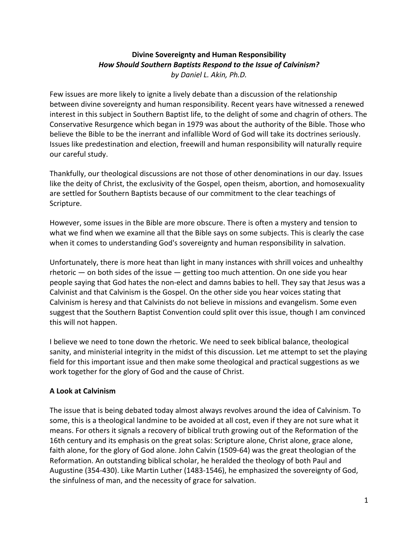## **Divine Sovereignty and Human Responsibility** How Should Southern Baptists Respond to the Issue of Calvinism? *by Daniel L. Akin, Ph.D.*

Few issues are more likely to ignite a lively debate than a discussion of the relationship between divine sovereignty and human responsibility. Recent years have witnessed a renewed interest in this subject in Southern Baptist life, to the delight of some and chagrin of others. The Conservative Resurgence which began in 1979 was about the authority of the Bible. Those who believe the Bible to be the inerrant and infallible Word of God will take its doctrines seriously. Issues like predestination and election, freewill and human responsibility will naturally require our careful study.

Thankfully, our theological discussions are not those of other denominations in our day. Issues like the deity of Christ, the exclusivity of the Gospel, open theism, abortion, and homosexuality are settled for Southern Baptists because of our commitment to the clear teachings of Scripture.

However, some issues in the Bible are more obscure. There is often a mystery and tension to what we find when we examine all that the Bible says on some subjects. This is clearly the case when it comes to understanding God's sovereignty and human responsibility in salvation.

Unfortunately, there is more heat than light in many instances with shrill voices and unhealthy rhetoric  $-$  on both sides of the issue  $-$  getting too much attention. On one side you hear people saying that God hates the non-elect and damns babies to hell. They say that Jesus was a Calvinist and that Calvinism is the Gospel. On the other side you hear voices stating that Calvinism is heresy and that Calvinists do not believe in missions and evangelism. Some even suggest that the Southern Baptist Convention could split over this issue, though I am convinced this will not happen.

I believe we need to tone down the rhetoric. We need to seek biblical balance, theological sanity, and ministerial integrity in the midst of this discussion. Let me attempt to set the playing field for this important issue and then make some theological and practical suggestions as we work together for the glory of God and the cause of Christ.

# **A Look at Calvinism**

The issue that is being debated today almost always revolves around the idea of Calvinism. To some, this is a theological landmine to be avoided at all cost, even if they are not sure what it means. For others it signals a recovery of biblical truth growing out of the Reformation of the 16th century and its emphasis on the great solas: Scripture alone, Christ alone, grace alone, faith alone, for the glory of God alone. John Calvin (1509-64) was the great theologian of the Reformation. An outstanding biblical scholar, he heralded the theology of both Paul and Augustine (354-430). Like Martin Luther (1483-1546), he emphasized the sovereignty of God, the sinfulness of man, and the necessity of grace for salvation.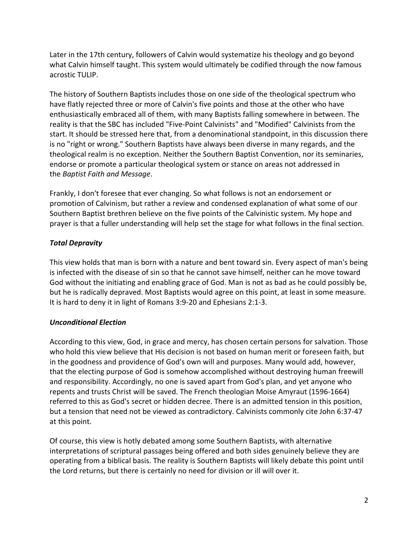Later in the 17th century, followers of Calvin would systematize his theology and go beyond what Calvin himself taught. This system would ultimately be codified through the now famous acrostic TULIP.

The history of Southern Baptists includes those on one side of the theological spectrum who have flatly rejected three or more of Calvin's five points and those at the other who have enthusiastically embraced all of them, with many Baptists falling somewhere in between. The reality is that the SBC has included "Five-Point Calvinists" and "Modified" Calvinists from the start. It should be stressed here that, from a denominational standpoint, in this discussion there is no "right or wrong." Southern Baptists have always been diverse in many regards, and the theological realm is no exception. Neither the Southern Baptist Convention, nor its seminaries, endorse or promote a particular theological system or stance on areas not addressed in the *Baptist Faith and Message*.

Frankly, I don't foresee that ever changing. So what follows is not an endorsement or promotion of Calvinism, but rather a review and condensed explanation of what some of our Southern Baptist brethren believe on the five points of the Calvinistic system. My hope and prayer is that a fuller understanding will help set the stage for what follows in the final section.

# *Total Depravity*

This view holds that man is born with a nature and bent toward sin. Every aspect of man's being is infected with the disease of sin so that he cannot save himself, neither can he move toward God without the initiating and enabling grace of God. Man is not as bad as he could possibly be, but he is radically depraved. Most Baptists would agree on this point, at least in some measure. It is hard to deny it in light of Romans 3:9-20 and Ephesians 2:1-3.

## *Unconditional Election*

According to this view, God, in grace and mercy, has chosen certain persons for salvation. Those who hold this view believe that His decision is not based on human merit or foreseen faith, but in the goodness and providence of God's own will and purposes. Many would add, however, that the electing purpose of God is somehow accomplished without destroying human freewill and responsibility. Accordingly, no one is saved apart from God's plan, and yet anyone who repents and trusts Christ will be saved. The French theologian Moise Amyraut (1596-1664) referred to this as God's secret or hidden decree. There is an admitted tension in this position, but a tension that need not be viewed as contradictory. Calvinists commonly cite John 6:37-47 at this point.

Of course, this view is hotly debated among some Southern Baptists, with alternative interpretations of scriptural passages being offered and both sides genuinely believe they are operating from a biblical basis. The reality is Southern Baptists will likely debate this point until the Lord returns, but there is certainly no need for division or ill will over it.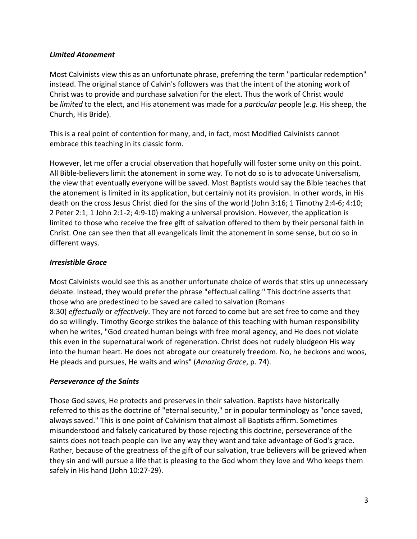#### *Limited Atonement*

Most Calvinists view this as an unfortunate phrase, preferring the term "particular redemption" instead. The original stance of Calvin's followers was that the intent of the atoning work of Christ was to provide and purchase salvation for the elect. Thus the work of Christ would be *limited* to the elect, and His atonement was made for a *particular* people (*e.g.* His sheep, the Church, His Bride).

This is a real point of contention for many, and, in fact, most Modified Calvinists cannot embrace this teaching in its classic form.

However, let me offer a crucial observation that hopefully will foster some unity on this point. All Bible-believers limit the atonement in some way. To not do so is to advocate Universalism, the view that eventually everyone will be saved. Most Baptists would say the Bible teaches that the atonement is limited in its application, but certainly not its provision. In other words, in His death on the cross Jesus Christ died for the sins of the world (John 3:16; 1 Timothy 2:4-6; 4:10; 2 Peter 2:1; 1 John 2:1-2; 4:9-10) making a universal provision. However, the application is limited to those who receive the free gift of salvation offered to them by their personal faith in Christ. One can see then that all evangelicals limit the atonement in some sense, but do so in different ways.

## *Irresistible Grace*

Most Calvinists would see this as another unfortunate choice of words that stirs up unnecessary debate. Instead, they would prefer the phrase "effectual calling." This doctrine asserts that those who are predestined to be saved are called to salvation (Romans 8:30) *effectually* or *effectively*. They are not forced to come but are set free to come and they do so willingly. Timothy George strikes the balance of this teaching with human responsibility when he writes, "God created human beings with free moral agency, and He does not violate this even in the supernatural work of regeneration. Christ does not rudely bludgeon His way into the human heart. He does not abrogate our creaturely freedom. No, he beckons and woos, He pleads and pursues, He waits and wins" (Amazing Grace, p. 74).

## *Perseverance of the Saints*

Those God saves, He protects and preserves in their salvation. Baptists have historically referred to this as the doctrine of "eternal security," or in popular terminology as "once saved, always saved." This is one point of Calvinism that almost all Baptists affirm. Sometimes misunderstood and falsely caricatured by those rejecting this doctrine, perseverance of the saints does not teach people can live any way they want and take advantage of God's grace. Rather, because of the greatness of the gift of our salvation, true believers will be grieved when they sin and will pursue a life that is pleasing to the God whom they love and Who keeps them safely in His hand (John 10:27-29).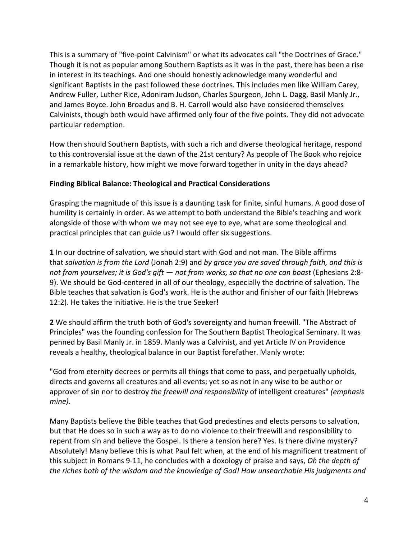This is a summary of "five-point Calvinism" or what its advocates call "the Doctrines of Grace." Though it is not as popular among Southern Baptists as it was in the past, there has been a rise in interest in its teachings. And one should honestly acknowledge many wonderful and significant Baptists in the past followed these doctrines. This includes men like William Carey, Andrew Fuller, Luther Rice, Adoniram Judson, Charles Spurgeon, John L. Dagg, Basil Manly Jr., and James Boyce. John Broadus and B. H. Carroll would also have considered themselves Calvinists, though both would have affirmed only four of the five points. They did not advocate particular redemption.

How then should Southern Baptists, with such a rich and diverse theological heritage, respond to this controversial issue at the dawn of the 21st century? As people of The Book who rejoice in a remarkable history, how might we move forward together in unity in the days ahead?

#### **Finding Biblical Balance: Theological and Practical Considerations**

Grasping the magnitude of this issue is a daunting task for finite, sinful humans. A good dose of humility is certainly in order. As we attempt to both understand the Bible's teaching and work alongside of those with whom we may not see eye to eye, what are some theological and practical principles that can guide us? I would offer six suggestions.

**1** In our doctrine of salvation, we should start with God and not man. The Bible affirms that *salvation is from the Lord* (Jonah 2:9) and *by grace you are saved through faith, and this is not from yourselves; it is God's gift — not from works, so that no one can boast* (Ephesians 2:8-9). We should be God-centered in all of our theology, especially the doctrine of salvation. The Bible teaches that salvation is God's work. He is the author and finisher of our faith (Hebrews 12:2). He takes the initiative. He is the true Seeker!

**2** We should affirm the truth both of God's sovereignty and human freewill. "The Abstract of Principles" was the founding confession for The Southern Baptist Theological Seminary. It was penned by Basil Manly Jr. in 1859. Manly was a Calvinist, and yet Article IV on Providence reveals a healthy, theological balance in our Baptist forefather. Manly wrote:

"God from eternity decrees or permits all things that come to pass, and perpetually upholds, directs and governs all creatures and all events; yet so as not in any wise to be author or approver of sin nor to destroy *the freewill and responsibility* of intelligent creatures" *(emphasis mine)*.

Many Baptists believe the Bible teaches that God predestines and elects persons to salvation, but that He does so in such a way as to do no violence to their freewill and responsibility to repent from sin and believe the Gospel. Is there a tension here? Yes. Is there divine mystery? Absolutely! Many believe this is what Paul felt when, at the end of his magnificent treatment of this subject in Romans 9-11, he concludes with a doxology of praise and says, *Oh the depth of* the riches both of the wisdom and the knowledge of God! How unsearchable His judgments and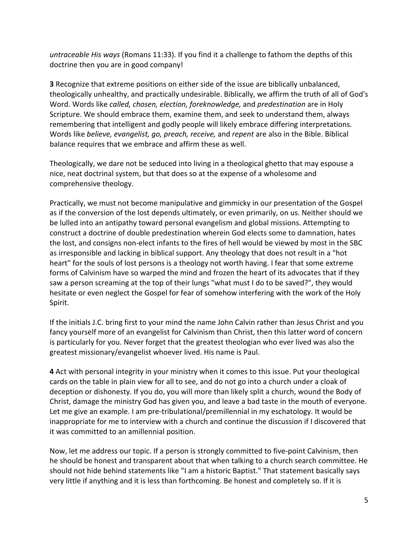*untraceable His ways* (Romans 11:33). If you find it a challenge to fathom the depths of this doctrine then you are in good company!

**3** Recognize that extreme positions on either side of the issue are biblically unbalanced, theologically unhealthy, and practically undesirable. Biblically, we affirm the truth of all of God's Word. Words like *called, chosen, election, foreknowledge,* and *predestination* are in Holy Scripture. We should embrace them, examine them, and seek to understand them, always remembering that intelligent and godly people will likely embrace differing interpretations. Words like *believe, evangelist, go, preach, receive,* and *repent* are also in the Bible. Biblical balance requires that we embrace and affirm these as well.

Theologically, we dare not be seduced into living in a theological ghetto that may espouse a nice, neat doctrinal system, but that does so at the expense of a wholesome and comprehensive theology.

Practically, we must not become manipulative and gimmicky in our presentation of the Gospel as if the conversion of the lost depends ultimately, or even primarily, on us. Neither should we be lulled into an antipathy toward personal evangelism and global missions. Attempting to construct a doctrine of double predestination wherein God elects some to damnation, hates the lost, and consigns non-elect infants to the fires of hell would be viewed by most in the SBC as irresponsible and lacking in biblical support. Any theology that does not result in a "hot heart" for the souls of lost persons is a theology not worth having. I fear that some extreme forms of Calvinism have so warped the mind and frozen the heart of its advocates that if they saw a person screaming at the top of their lungs "what must I do to be saved?", they would hesitate or even neglect the Gospel for fear of somehow interfering with the work of the Holy Spirit.

If the initials J.C. bring first to your mind the name John Calvin rather than Jesus Christ and you fancy yourself more of an evangelist for Calvinism than Christ, then this latter word of concern is particularly for you. Never forget that the greatest theologian who ever lived was also the greatest missionary/evangelist whoever lived. His name is Paul.

**4** Act with personal integrity in your ministry when it comes to this issue. Put your theological cards on the table in plain view for all to see, and do not go into a church under a cloak of deception or dishonesty. If you do, you will more than likely split a church, wound the Body of Christ, damage the ministry God has given you, and leave a bad taste in the mouth of everyone. Let me give an example. I am pre-tribulational/premillennial in my eschatology. It would be inappropriate for me to interview with a church and continue the discussion if I discovered that it was committed to an amillennial position.

Now, let me address our topic. If a person is strongly committed to five-point Calvinism, then he should be honest and transparent about that when talking to a church search committee. He should not hide behind statements like "I am a historic Baptist." That statement basically says very little if anything and it is less than forthcoming. Be honest and completely so. If it is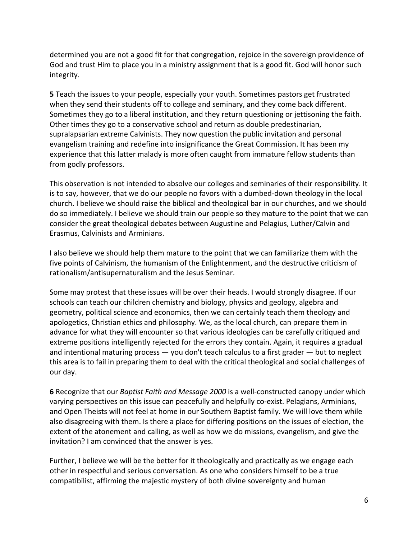determined you are not a good fit for that congregation, rejoice in the sovereign providence of God and trust Him to place you in a ministry assignment that is a good fit. God will honor such integrity.

**5** Teach the issues to your people, especially your youth. Sometimes pastors get frustrated when they send their students off to college and seminary, and they come back different. Sometimes they go to a liberal institution, and they return questioning or jettisoning the faith. Other times they go to a conservative school and return as double predestinarian, supralapsarian extreme Calvinists. They now question the public invitation and personal evangelism training and redefine into insignificance the Great Commission. It has been my experience that this latter malady is more often caught from immature fellow students than from godly professors.

This observation is not intended to absolve our colleges and seminaries of their responsibility. It is to say, however, that we do our people no favors with a dumbed-down theology in the local church. I believe we should raise the biblical and theological bar in our churches, and we should do so immediately. I believe we should train our people so they mature to the point that we can consider the great theological debates between Augustine and Pelagius, Luther/Calvin and Erasmus, Calvinists and Arminians.

I also believe we should help them mature to the point that we can familiarize them with the five points of Calvinism, the humanism of the Enlightenment, and the destructive criticism of rationalism/antisupernaturalism and the Jesus Seminar.

Some may protest that these issues will be over their heads. I would strongly disagree. If our schools can teach our children chemistry and biology, physics and geology, algebra and geometry, political science and economics, then we can certainly teach them theology and apologetics, Christian ethics and philosophy. We, as the local church, can prepare them in advance for what they will encounter so that various ideologies can be carefully critiqued and extreme positions intelligently rejected for the errors they contain. Again, it requires a gradual and intentional maturing process  $-$  you don't teach calculus to a first grader  $-$  but to neglect this area is to fail in preparing them to deal with the critical theological and social challenges of our day.

**6** Recognize that our *Baptist Faith and Message 2000* is a well-constructed canopy under which varying perspectives on this issue can peacefully and helpfully co-exist. Pelagians, Arminians, and Open Theists will not feel at home in our Southern Baptist family. We will love them while also disagreeing with them. Is there a place for differing positions on the issues of election, the extent of the atonement and calling, as well as how we do missions, evangelism, and give the invitation? I am convinced that the answer is yes.

Further, I believe we will be the better for it theologically and practically as we engage each other in respectful and serious conversation. As one who considers himself to be a true compatibilist, affirming the majestic mystery of both divine sovereignty and human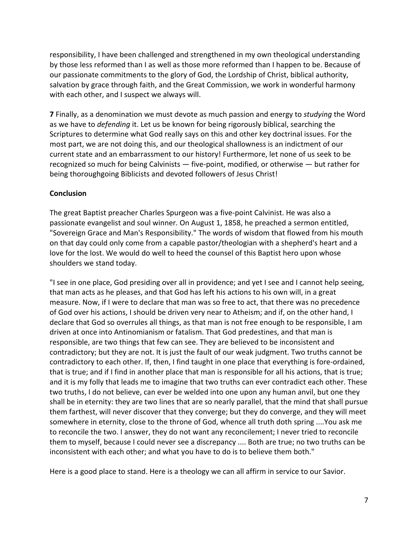responsibility, I have been challenged and strengthened in my own theological understanding by those less reformed than I as well as those more reformed than I happen to be. Because of our passionate commitments to the glory of God, the Lordship of Christ, biblical authority, salvation by grace through faith, and the Great Commission, we work in wonderful harmony with each other, and I suspect we always will.

**7** Finally, as a denomination we must devote as much passion and energy to *studying* the Word as we have to *defending* it. Let us be known for being rigorously biblical, searching the Scriptures to determine what God really says on this and other key doctrinal issues. For the most part, we are not doing this, and our theological shallowness is an indictment of our current state and an embarrassment to our history! Furthermore, let none of us seek to be recognized so much for being Calvinists  $-$  five-point, modified, or otherwise  $-$  but rather for being thoroughgoing Biblicists and devoted followers of Jesus Christ!

#### **Conclusion**

The great Baptist preacher Charles Spurgeon was a five-point Calvinist. He was also a passionate evangelist and soul winner. On August 1, 1858, he preached a sermon entitled, "Sovereign Grace and Man's Responsibility." The words of wisdom that flowed from his mouth on that day could only come from a capable pastor/theologian with a shepherd's heart and a love for the lost. We would do well to heed the counsel of this Baptist hero upon whose shoulders we stand today.

"I see in one place, God presiding over all in providence; and yet I see and I cannot help seeing, that man acts as he pleases, and that God has left his actions to his own will, in a great measure. Now, if I were to declare that man was so free to act, that there was no precedence of God over his actions, I should be driven very near to Atheism; and if, on the other hand, I declare that God so overrules all things, as that man is not free enough to be responsible, I am driven at once into Antinomianism or fatalism. That God predestines, and that man is responsible, are two things that few can see. They are believed to be inconsistent and contradictory; but they are not. It is just the fault of our weak judgment. Two truths cannot be contradictory to each other. If, then, I find taught in one place that everything is fore-ordained, that is true; and if I find in another place that man is responsible for all his actions, that is true; and it is my folly that leads me to imagine that two truths can ever contradict each other. These two truths, I do not believe, can ever be welded into one upon any human anvil, but one they shall be in eternity: they are two lines that are so nearly parallel, that the mind that shall pursue them farthest, will never discover that they converge; but they do converge, and they will meet somewhere in eternity, close to the throne of God, whence all truth doth spring ....You ask me to reconcile the two. I answer, they do not want any reconcilement; I never tried to reconcile them to myself, because I could never see a discrepancy .... Both are true; no two truths can be inconsistent with each other; and what you have to do is to believe them both."

Here is a good place to stand. Here is a theology we can all affirm in service to our Savior.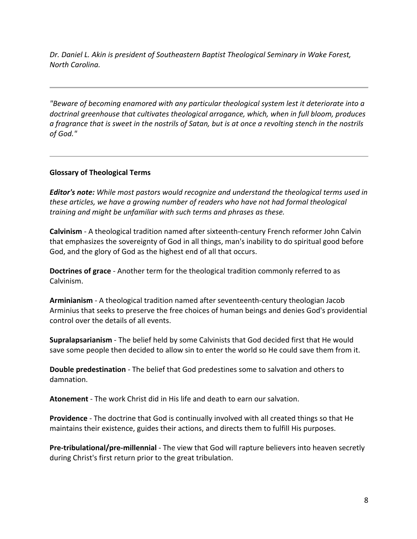*Dr.* Daniel L. Akin is president of Southeastern Baptist Theological Seminary in Wake Forest, *North Carolina.*

*"Beware of becoming enamored with any particular theological system lest it deteriorate into a* doctrinal greenhouse that cultivates theological arrogance, which, when in full bloom, produces *a* fragrance that is sweet in the nostrils of Satan, but is at once a revolting stench in the nostrils *of God."*

#### **Glossary of Theological Terms**

*Editor's note:* While most pastors would recognize and understand the theological terms used in these articles, we have a growing number of readers who have not had formal theological *training and might be unfamiliar with such terms and phrases as these.* 

**Calvinism** - A theological tradition named after sixteenth-century French reformer John Calvin that emphasizes the sovereignty of God in all things, man's inability to do spiritual good before God, and the glory of God as the highest end of all that occurs.

**Doctrines of grace** - Another term for the theological tradition commonly referred to as Calvinism.

**Arminianism** - A theological tradition named after seventeenth-century theologian Jacob Arminius that seeks to preserve the free choices of human beings and denies God's providential control over the details of all events.

**Supralapsarianism** - The belief held by some Calvinists that God decided first that He would save some people then decided to allow sin to enter the world so He could save them from it.

**Double predestination** - The belief that God predestines some to salvation and others to damnation.

**Atonement** - The work Christ did in His life and death to earn our salvation.

**Providence** - The doctrine that God is continually involved with all created things so that He maintains their existence, guides their actions, and directs them to fulfill His purposes.

**Pre-tribulational/pre-millennial** - The view that God will rapture believers into heaven secretly during Christ's first return prior to the great tribulation.